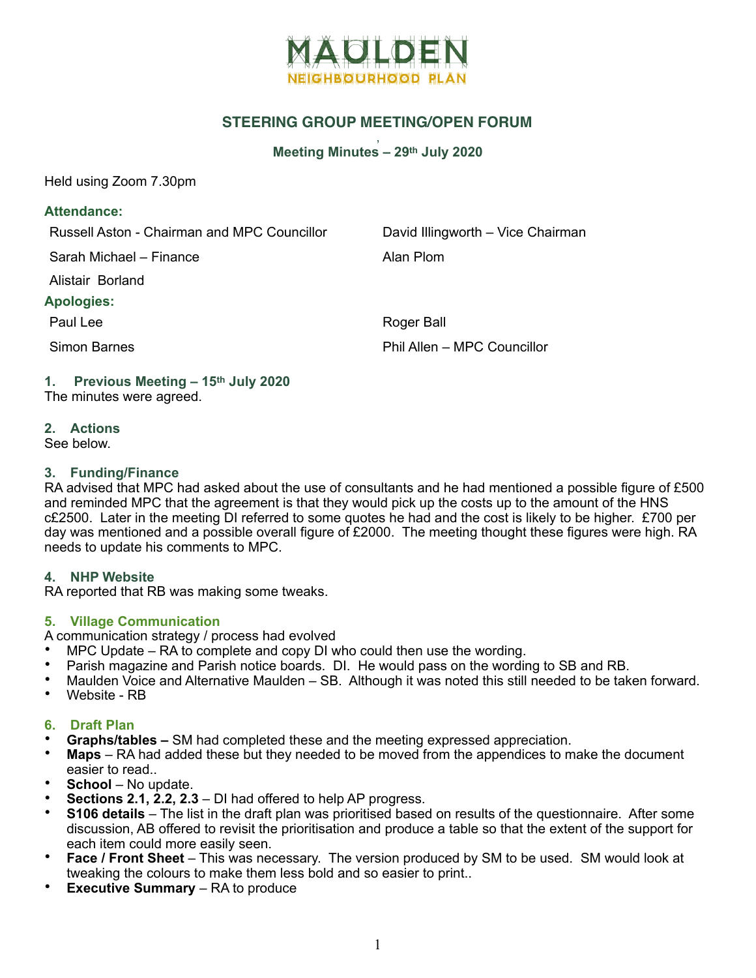

# **STEERING GROUP MEETING/OPEN FORUM**

#### , **Meeting Minutes – 29th July 2020**

Held using Zoom 7.30pm

#### **Attendance:**

Russell Aston - Chairman and MPC Councillor David Illingworth – Vice Chairman

Sarah Michael – Finance **Alan Plom** 

Alistair Borland

#### **Apologies:**

Paul Lee Roger Ball Simon Barnes **Phil Allen – MPC Councillor** 

#### **1. Previous Meeting – 15th July 2020**  The minutes were agreed.

**2. Actions** 

#### See below.

## **3. Funding/Finance**

RA advised that MPC had asked about the use of consultants and he had mentioned a possible figure of £500 and reminded MPC that the agreement is that they would pick up the costs up to the amount of the HNS c£2500. Later in the meeting DI referred to some quotes he had and the cost is likely to be higher. £700 per day was mentioned and a possible overall figure of £2000. The meeting thought these figures were high. RA needs to update his comments to MPC.

## **4. NHP Website**

RA reported that RB was making some tweaks.

## **5. Village Communication**

A communication strategy / process had evolved

- MPC Update RA to complete and copy DI who could then use the wording.
- Parish magazine and Parish notice boards. DI. He would pass on the wording to SB and RB.
- Maulden Voice and Alternative Maulden SB. Although it was noted this still needed to be taken forward.
- Website RB

## **6. Draft Plan**

- **Graphs/tables** SM had completed these and the meeting expressed appreciation.
- **Maps** RA had added these but they needed to be moved from the appendices to make the document easier to read..
- **School** No update.
- **Sections 2.1, 2.2, 2.3**  DI had offered to help AP progress.
- **S106 details** The list in the draft plan was prioritised based on results of the questionnaire. After some discussion, AB offered to revisit the prioritisation and produce a table so that the extent of the support for each item could more easily seen.
- **Face / Front Sheet**  This was necessary. The version produced by SM to be used. SM would look at tweaking the colours to make them less bold and so easier to print..
- **Executive Summary**  RA to produce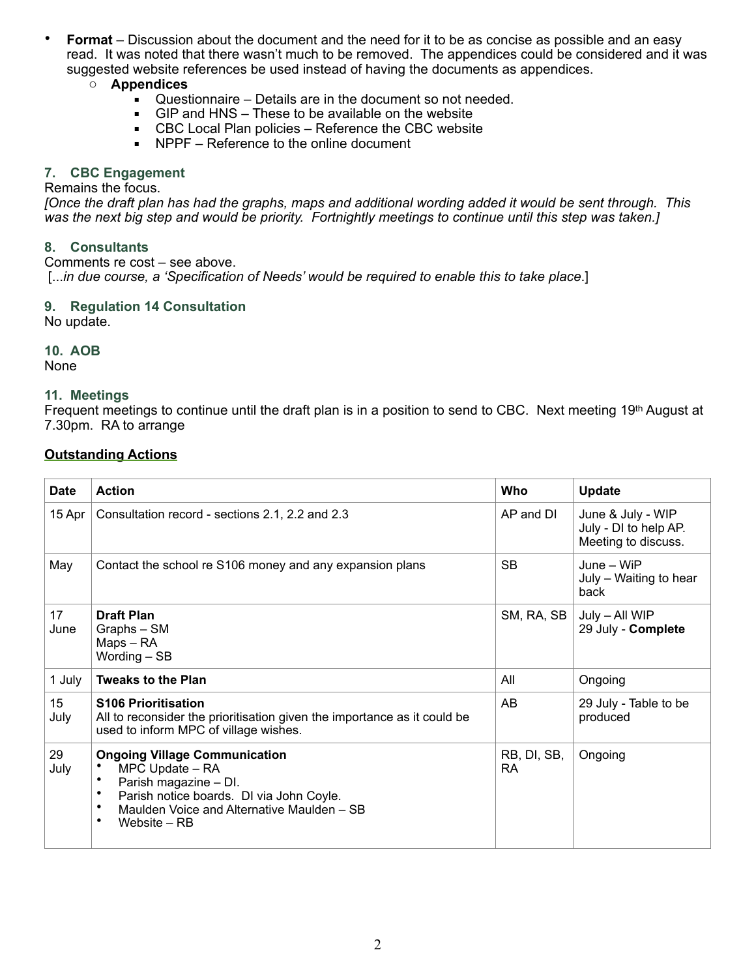• **Format** – Discussion about the document and the need for it to be as concise as possible and an easy read. It was noted that there wasn't much to be removed. The appendices could be considered and it was suggested website references be used instead of having the documents as appendices.

#### o **Appendices**

- Questionnaire Details are in the document so not needed.
- $\blacksquare$  GIP and HNS These to be available on the website
- CBC Local Plan policies Reference the CBC website
- NPPF Reference to the online document

#### **7. CBC Engagement**

Remains the focus.

*[Once the draft plan has had the graphs, maps and additional wording added it would be sent through. This was the next big step and would be priority. Fortnightly meetings to continue until this step was taken.]* 

## **8. Consultants**

Comments re cost – see above. [...*in due course, a 'Specification of Needs' would be required to enable this to take place*.]

#### **9. Regulation 14 Consultation**

No update.

## **10. AOB**

None

#### **11. Meetings**

Frequent meetings to continue until the draft plan is in a position to send to CBC. Next meeting 19<sup>th</sup> August at 7.30pm. RA to arrange

## **Outstanding Actions**

| <b>Date</b> | <b>Action</b>                                                                                                                                                                                             | Who                      | Update                                                            |
|-------------|-----------------------------------------------------------------------------------------------------------------------------------------------------------------------------------------------------------|--------------------------|-------------------------------------------------------------------|
| $15$ Apr    | Consultation record - sections 2.1, 2.2 and 2.3                                                                                                                                                           | AP and DI                | June & July - WIP<br>July - DI to help AP.<br>Meeting to discuss. |
| May         | Contact the school re S106 money and any expansion plans                                                                                                                                                  | <b>SB</b>                | $June - WiFi$<br>July - Waiting to hear<br>back                   |
| 17<br>June  | <b>Draft Plan</b><br>Graphs - SM<br>Maps - RA<br>Wording - SB                                                                                                                                             | SM, RA, SB               | July - All WIP<br>29 July - Complete                              |
| 1 July      | <b>Tweaks to the Plan</b>                                                                                                                                                                                 | All                      | Ongoing                                                           |
| 15<br>July  | <b>S106 Prioritisation</b><br>All to reconsider the prioritisation given the importance as it could be<br>used to inform MPC of village wishes.                                                           | AB                       | 29 July - Table to be<br>produced                                 |
| 29<br>July  | <b>Ongoing Village Communication</b><br>MPC Update - RA<br>Parish magazine - DI.<br>٠<br>Parish notice boards. DI via John Coyle.<br>Maulden Voice and Alternative Maulden - SB<br>٠<br>٠<br>Website – RB | RB, DI, SB,<br><b>RA</b> | Ongoing                                                           |